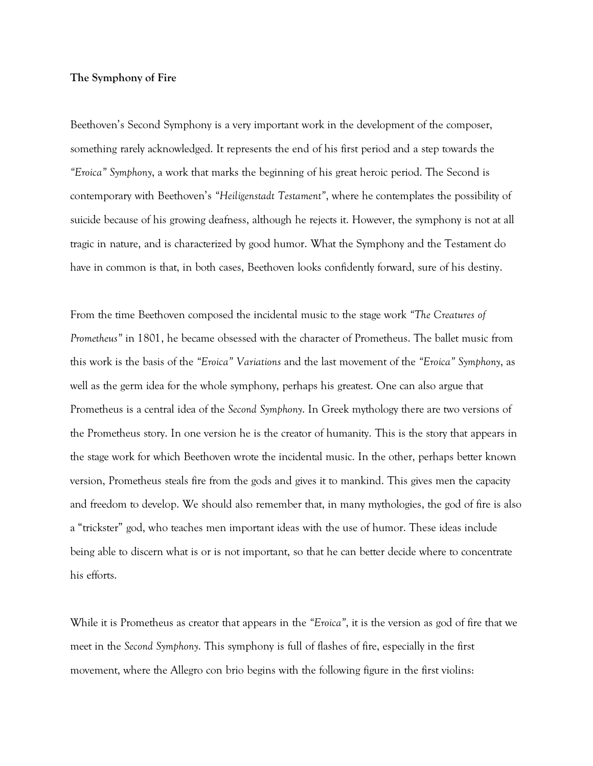## **The Symphony of Fire**

Beethoven's Second Symphony is a very important work in the development of the composer, something rarely acknowledged. It represents the end of his first period and a step towards the *"Eroica" Symphony*, a work that marks the beginning of his great heroic period. The Second is contemporary with Beethoven's *"Heiligenstadt Testament"*, where he contemplates the possibility of suicide because of his growing deafness, although he rejects it. However, the symphony is not at all tragic in nature, and is characterized by good humor. What the Symphony and the Testament do have in common is that, in both cases, Beethoven looks confidently forward, sure of his destiny.

From the time Beethoven composed the incidental music to the stage work *"The Creatures of Prometheus"* in 1801, he became obsessed with the character of Prometheus. The ballet music from this work is the basis of the *"Eroica" Variations* and the last movement of the *"Eroica" Symphony*, as well as the germ idea for the whole symphony, perhaps his greatest. One can also argue that Prometheus is a central idea of the *Second Symphony*. In Greek mythology there are two versions of the Prometheus story. In one version he is the creator of humanity. This is the story that appears in the stage work for which Beethoven wrote the incidental music. In the other, perhaps better known version, Prometheus steals fire from the gods and gives it to mankind. This gives men the capacity and freedom to develop. We should also remember that, in many mythologies, the god of fire is also a "trickster" god, who teaches men important ideas with the use of humor. These ideas include being able to discern what is or is not important, so that he can better decide where to concentrate his efforts.

While it is Prometheus as creator that appears in the *"Eroica"*, it is the version as god of fire that we meet in the *Second Symphony*. This symphony is full of flashes of fire, especially in the first movement, where the Allegro con brio begins with the following figure in the first violins: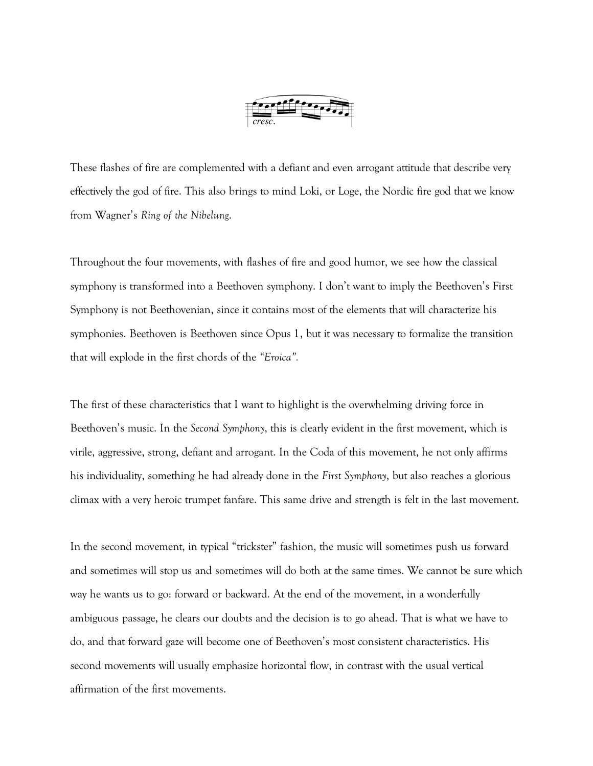

These flashes of fire are complemented with a defiant and even arrogant attitude that describe very effectively the god of fire. This also brings to mind Loki, or Loge, the Nordic fire god that we know from Wagner's *Ring of the Nibelung*.

Throughout the four movements, with flashes of fire and good humor, we see how the classical symphony is transformed into a Beethoven symphony. I don't want to imply the Beethoven's First Symphony is not Beethovenian, since it contains most of the elements that will characterize his symphonies. Beethoven is Beethoven since Opus 1, but it was necessary to formalize the transition that will explode in the first chords of the *"Eroica".*

The first of these characteristics that I want to highlight is the overwhelming driving force in Beethoven's music. In the *Second Symphony*, this is clearly evident in the first movement, which is virile, aggressive, strong, defiant and arrogant. In the Coda of this movement, he not only affirms his individuality, something he had already done in the *First Symphony*, but also reaches a glorious climax with a very heroic trumpet fanfare. This same drive and strength is felt in the last movement.

In the second movement, in typical "trickster" fashion, the music will sometimes push us forward and sometimes will stop us and sometimes will do both at the same times. We cannot be sure which way he wants us to go: forward or backward. At the end of the movement, in a wonderfully ambiguous passage, he clears our doubts and the decision is to go ahead. That is what we have to do, and that forward gaze will become one of Beethoven's most consistent characteristics. His second movements will usually emphasize horizontal flow, in contrast with the usual vertical affirmation of the first movements.